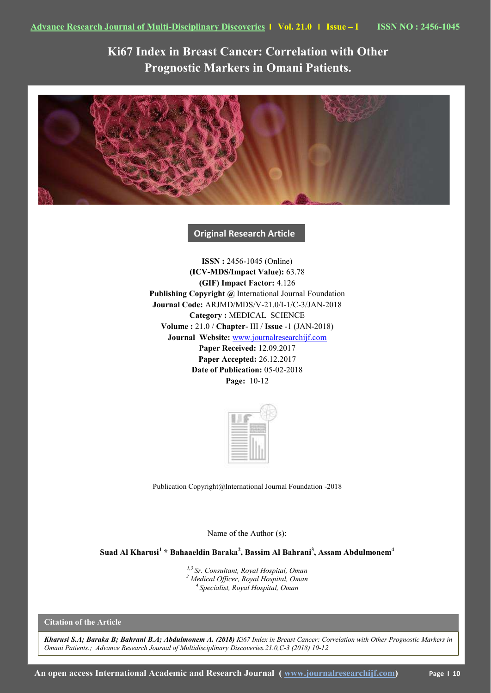**Ki67 Index in Breast Cancer: Correlation with Other Prognostic Markers in Omani Patients.**



**Original Research Article** 

**ISSN :** 2456-1045 (Online) **(ICV-MDS/Impact Value):** 63.78 **(GIF) Impact Factor:** 4.126 **Publishing Copyright @** International Journal Foundation **Journal Code:** ARJMD/MDS/V-21.0/I-1/C-3/JAN-2018 **Category :** MEDICAL SCIENCE **Volume :** 21.0 / **Chapter**- III / **Issue** -1 (JAN-2018) **Journal Website:** [www.journalresearchijf.com](http://www.journalresearchijf.com/) **Paper Received:** 12.09.2017 **Paper Accepted:** 26.12.2017 **Date of Publication:** 05-02-2018 **Page:** 10-12



Publication Copyright@International Journal Foundation -2018

Name of the Author (s):

**Suad Al Kharusi<sup>1</sup> \* Bahaaeldin Baraka<sup>2</sup> , Bassim Al Bahrani<sup>3</sup> , Assam Abdulmonem<sup>4</sup>**

*1,3 Sr. Consultant, Royal Hospital, Oman <sup>2</sup> Medical Officer, Royal Hospital, Oman <sup>4</sup>Specialist, Royal Hospital, Oman*

**Citation of the Article**

*Kharusi S.A; Baraka B; Bahrani B.A; Abdulmonem A. (2018) Ki67 Index in Breast Cancer: Correlation with Other Prognostic Markers in Omani Patients.; Advance Research Journal of Multidisciplinary Discoveries.21.0,C-3 (2018) 10-12*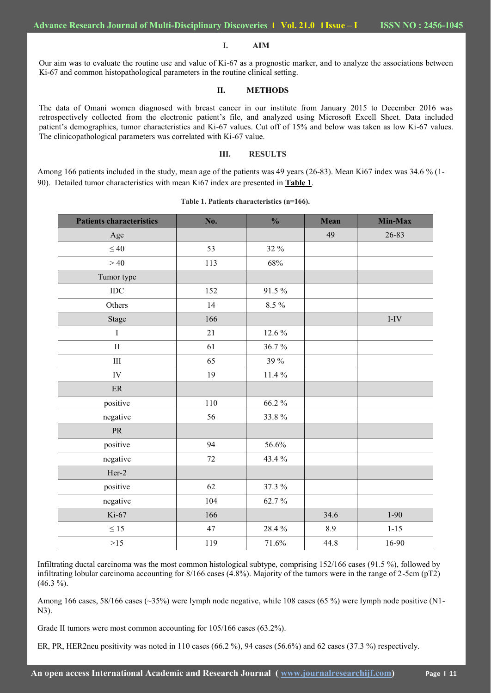#### **I. AIM**

Our aim was to evaluate the routine use and value of Ki-67 as a prognostic marker, and to analyze the associations between Ki-67 and common histopathological parameters in the routine clinical setting.

### **II. METHODS**

The data of Omani women diagnosed with breast cancer in our institute from January 2015 to December 2016 was retrospectively collected from the electronic patient's file, and analyzed using Microsoft Excell Sheet. Data included patient's demographics, tumor characteristics and Ki-67 values. Cut off of 15% and below was taken as low Ki-67 values. The clinicopathological parameters was correlated with Ki-67 value.

## **III. RESULTS**

Among 166 patients included in the study, mean age of the patients was 49 years (26-83). Mean Ki67 index was 34.6 % (1-90). Detailed tumor characteristics with mean Ki67 index are presented in **Table 1**.

| <b>Patients characteristics</b> | No. | $\frac{0}{0}$ | <b>Mean</b> | Min-Max  |
|---------------------------------|-----|---------------|-------------|----------|
| Age                             |     |               | 49          | 26-83    |
| $\leq 40$                       | 53  | 32 %          |             |          |
| >40                             | 113 | 68%           |             |          |
| Tumor type                      |     |               |             |          |
| <b>IDC</b>                      | 152 | 91.5%         |             |          |
| Others                          | 14  | 8.5%          |             |          |
| Stage                           | 166 |               |             | $I-IV$   |
| $\rm I$                         | 21  | 12.6 %        |             |          |
| $\rm II$                        | 61  | 36.7%         |             |          |
| $\rm III$                       | 65  | 39 %          |             |          |
| IV                              | 19  | 11.4 $%$      |             |          |
| $\rm ER$                        |     |               |             |          |
| positive                        | 110 | 66.2%         |             |          |
| negative                        | 56  | 33.8%         |             |          |
| PR                              |     |               |             |          |
| positive                        | 94  | 56.6%         |             |          |
| negative                        | 72  | 43.4 %        |             |          |
| $Her-2$                         |     |               |             |          |
| positive                        | 62  | 37.3 %        |             |          |
| negative                        | 104 | 62.7%         |             |          |
| Ki-67                           | 166 |               | 34.6        | $1 - 90$ |
| $\leq 15$                       | 47  | 28.4%         | 8.9         | $1 - 15$ |
| $>15$                           | 119 | 71.6%         | 44.8        | 16-90    |

### **Table 1. Patients characteristics (n=166).**

Infiltrating ductal carcinoma was the most common histological subtype, comprising 152/166 cases (91.5 %), followed by infiltrating lobular carcinoma accounting for 8/166 cases (4.8%). Majority of the tumors were in the range of 2-5cm (pT2)  $(46.3\%).$ 

Among 166 cases, 58/166 cases (~35%) were lymph node negative, while 108 cases (65 %) were lymph node positive (N1-N3).

Grade II tumors were most common accounting for 105/166 cases (63.2%).

ER, PR, HER2neu positivity was noted in 110 cases (66.2 %), 94 cases (56.6%) and 62 cases (37.3 %) respectively.